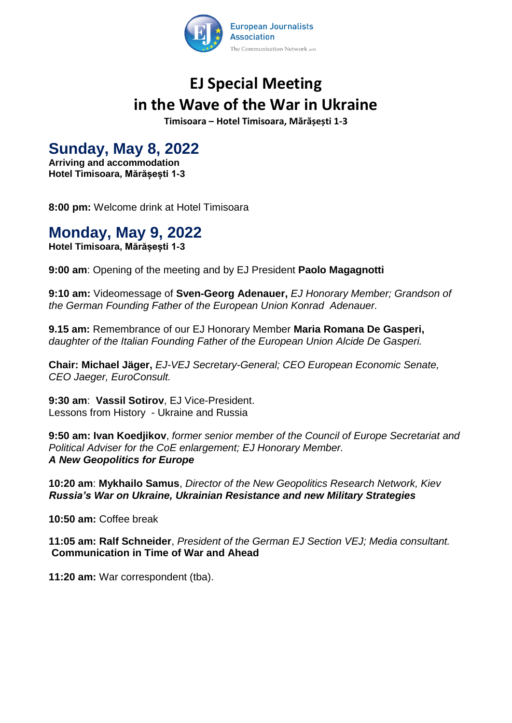

# **EJ Special Meeting in the Wave of the War in Ukraine**

**Timisoara – Hotel Timisoara, Mărășești 1-3**

## **Sunday, May 8, 2022**

**Arriving and accommodation Hotel Timisoara, Mărășești 1-3**

**8:00 pm:** Welcome drink at Hotel Timisoara

## **Monday, May 9, 2022**

**Hotel Timisoara, Mărășești 1-3**

**9:00 am**: Opening of the meeting and by EJ President **Paolo Magagnotti** 

**9:10 am:** Videomessage of **Sven-Georg Adenauer,** *EJ Honorary Member; Grandson of the German Founding Father of the European Union Konrad Adenauer.*

**9.15 am:** Remembrance of our EJ Honorary Member **Maria Romana De Gasperi,**  *daughter of the Italian Founding Father of the European Union Alcide De Gasperi.*

**Chair: Michael Jäger,** *EJ-VEJ Secretary-General; CEO European Economic Senate, CEO Jaeger, EuroConsult.*

**9:30 am**: **Vassil Sotirov**, EJ Vice-President. Lessons from History - Ukraine and Russia

**9:50 am: Ivan Koedjikov**, *former senior member of the Council of Europe Secretariat and Political Adviser for the CoE enlargement; EJ Honorary Member. A New Geopolitics for Europe*

**10:20 am**: **Mykhailo Samus**, *Director of the New Geopolitics Research Network, Kiev Russia's War on Ukraine, Ukrainian Resistance and new Military Strategies* 

**10:50 am:** Coffee break

**11:05 am: Ralf Schneider**, *President of the German EJ Section VEJ; Media consultant.* **Communication in Time of War and Ahead**

**11:20 am:** War correspondent (tba).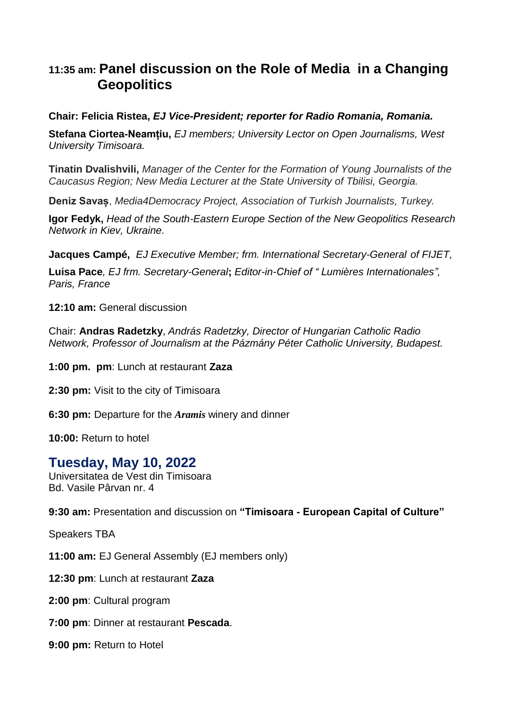### **11:35 am: Panel discussion on the Role of Media in a Changing Geopolitics**

#### **Chair: Felicia Ristea,** *EJ Vice-President; reporter for Radio Romania, Romania.*

**Stefana Ciortea-Neamțiu,** *EJ members; University Lector on Open Journalisms, West University Timisoara.*

**Tinatin Dvalishvili,** *Manager of the Center for the Formation of Young Journalists of the Caucasus Region; New Media Lecturer at the State University of Tbilisi, Georgia.*

**Deniz Savaș**, *Media4Democracy Project, Association of Turkish Journalists, Turkey.*

**Igor Fedyk,** *Head of the South-Eastern Europe Section of the New Geopolitics Research Network in Kiev, Ukraine.*

**Jacques Campé,** *EJ Executive Member; frm. International Secretary-General of FIJET,*

**Luisa Pace***, EJ frm. Secretary-General***;** *Editor-in-Chief of " Lumières Internationales", Paris, France*

**12:10 am:** General discussion

Chair: **Andras Radetzky**, *András Radetzky, Director of Hungarian Catholic Radio Network, Professor of Journalism at the Pázmány Péter Catholic University, Budapest.* 

**1:00 pm. pm**: Lunch at restaurant **Zaza** 

**2:30 pm:** Visit to the city of Timisoara

**6:30 pm:** Departure for the *Aramis* winery and dinner

**10:00:** Return to hotel

#### **Tuesday, May 10, 2022**

Universitatea de Vest din Timisoara Bd. Vasile Pârvan nr. 4

**9:30 am:** Presentation and discussion on **"Timisoara - European Capital of Culture"**

Speakers TBA

**11:00 am:** EJ General Assembly (EJ members only)

**12:30 pm**: Lunch at restaurant **Zaza**

**2:00 pm**: Cultural program

**7:00 pm**: Dinner at restaurant **Pescada**.

**9:00 pm:** Return to Hotel